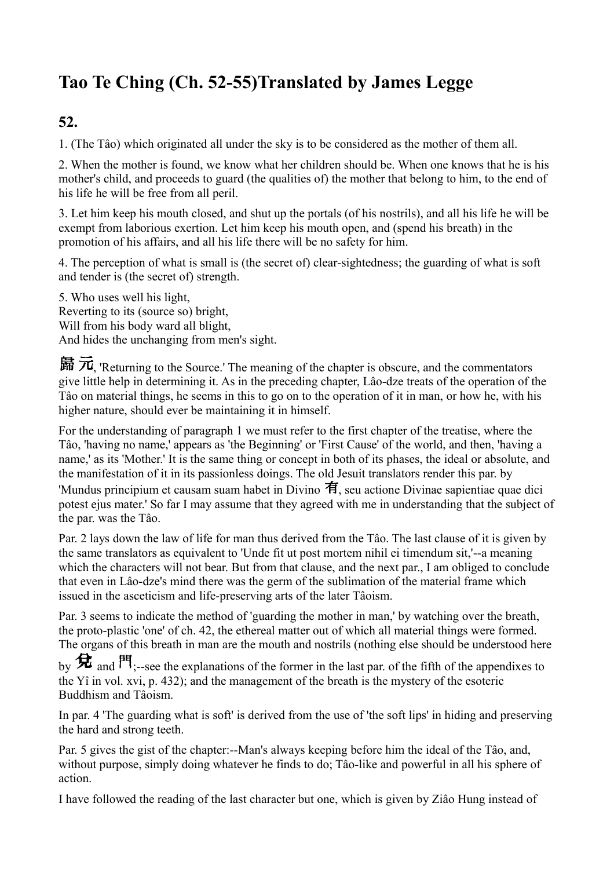# **Tao Te Ching (Ch. 52-55)Translated by James Legge**

### **52.**

1. (The Tâo) which originated all under the sky is to be considered as the mother of them all.

2. When the mother is found, we know what her children should be. When one knows that he is his mother's child, and proceeds to guard (the qualities of) the mother that belong to him, to the end of his life he will be free from all peril.

3. Let him keep his mouth closed, and shut up the portals (of his nostrils), and all his life he will be exempt from laborious exertion. Let him keep his mouth open, and (spend his breath) in the promotion of his affairs, and all his life there will be no safety for him.

4. The perception of what is small is (the secret of) clear-sightedness; the guarding of what is soft and tender is (the secret of) strength.

5. Who uses well his light, Reverting to its (source so) bright, Will from his body ward all blight, And hides the unchanging from men's sight.

歸元 returning to the Source.' The meaning of the chapter is obscure, and the commentators give little help in determining it. As in the preceding chapter, Lâo-dze treats of the operation of the Tâo on material things, he seems in this to go on to the operation of it in man, or how he, with his higher nature, should ever be maintaining it in himself.

For the understanding of paragraph 1 we must refer to the first chapter of the treatise, where the Tâo, 'having no name,' appears as 'the Beginning' or 'First Cause' of the world, and then, 'having a name,' as its 'Mother.' It is the same thing or concept in both of its phases, the ideal or absolute, and the manifestation of it in its passionless doings. The old Jesuit translators render this par. by 'Mundus principium et causam suam habet in Divino  $\hat{\mathbf{H}}$ , seu actione Divinae sapientiae quae dici potest ejus mater.' So far I may assume that they agreed with me in understanding that the subject of the par. was the Tâo.

Par. 2 lays down the law of life for man thus derived from the Tâo. The last clause of it is given by the same translators as equivalent to 'Unde fit ut post mortem nihil ei timendum sit,'--a meaning which the characters will not bear. But from that clause, and the next par., I am obliged to conclude that even in Lâo-dze's mind there was the germ of the sublimation of the material frame which issued in the asceticism and life-preserving arts of the later Tâoism.

Par. 3 seems to indicate the method of 'guarding the mother in man,' by watching over the breath, the proto-plastic 'one' of ch. 42, the ethereal matter out of which all material things were formed. The organs of this breath in man are the mouth and nostrils (nothing else should be understood here

by  $\bigstar$  and  $\mathsf{PT}_{\cdot}$ -see the explanations of the former in the last par. of the fifth of the appendixes to the Yî in vol. xvi, p. 432); and the management of the breath is the mystery of the esoteric Buddhism and Tâoism.

In par. 4 'The guarding what is soft' is derived from the use of 'the soft lips' in hiding and preserving the hard and strong teeth.

Par. 5 gives the gist of the chapter:--Man's always keeping before him the ideal of the Tâo, and, without purpose, simply doing whatever he finds to do; Tâo-like and powerful in all his sphere of action.

I have followed the reading of the last character but one, which is given by Ziâo Hung instead of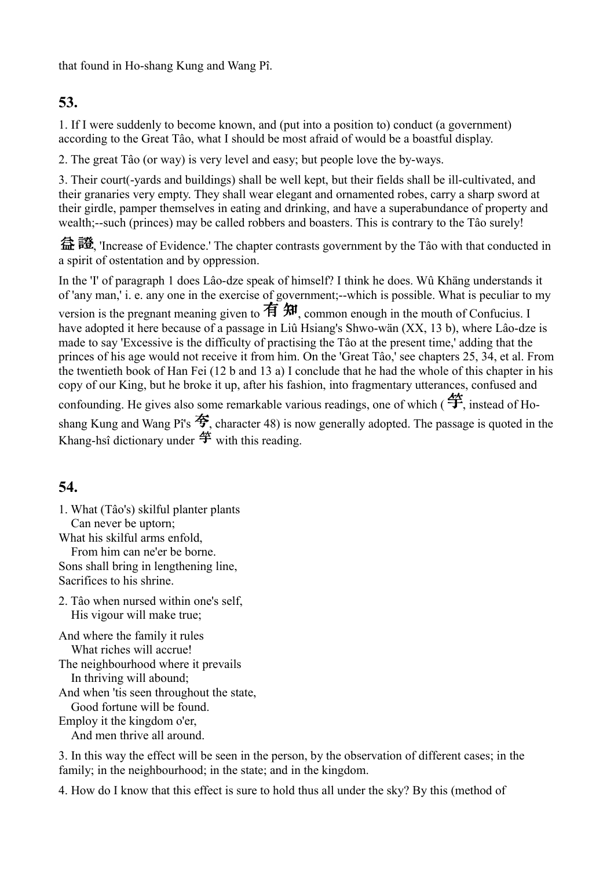that found in Ho-shang Kung and Wang Pî.

## **53.**

1. If I were suddenly to become known, and (put into a position to) conduct (a government) according to the Great Tâo, what I should be most afraid of would be a boastful display.

2. The great Tâo (or way) is very level and easy; but people love the by-ways.

3. Their court(-yards and buildings) shall be well kept, but their fields shall be ill-cultivated, and their granaries very empty. They shall wear elegant and ornamented robes, carry a sharp sword at their girdle, pamper themselves in eating and drinking, and have a superabundance of property and wealth;--such (princes) may be called robbers and boasters. This is contrary to the Tâo surely!

益證, 'Increase of Evidence.' The chapter contrasts government by the Tâo with that conducted in a spirit of ostentation and by oppression.

In the 'I' of paragraph 1 does Lâo-dze speak of himself? I think he does. Wû Khäng understands it of 'any man,' i. e. any one in the exercise of government;--which is possible. What is peculiar to my version is the pregnant meaning given to  $\overline{A}$   $\overline{A}$ , common enough in the mouth of Confucius. I have adopted it here because of a passage in Liû Hsiang's Shwo-wän (XX, 13 b), where Lâo-dze is made to say 'Excessive is the difficulty of practising the Tâo at the present time,' adding that the princes of his age would not receive it from him. On the 'Great Tâo,' see chapters 25, 34, et al. From the twentieth book of Han Fei (12 b and 13 a) I conclude that he had the whole of this chapter in his copy of our King, but he broke it up, after his fashion, into fragmentary utterances, confused and confounding. He gives also some remarkable various readings, one of which  $(\hat{\mathbf{\clubsuit}})$  instead of Hoshang Kung and Wang Pî's  $\hat{\mathcal{F}}$ , character 48) is now generally adopted. The passage is quoted in the Khang-hsî dictionary under  $\overset{\text{def}}{=}$  with this reading.

## **54.**

1. What (Tâo's) skilful planter plants Can never be uptorn; What his skilful arms enfold,

From him can ne'er be borne. Sons shall bring in lengthening line, Sacrifices to his shrine.

2. Tâo when nursed within one's self, His vigour will make true;

And where the family it rules What riches will accrue! The neighbourhood where it prevails In thriving will abound; And when 'tis seen throughout the state, Good fortune will be found. Employ it the kingdom o'er, And men thrive all around.

3. In this way the effect will be seen in the person, by the observation of different cases; in the family; in the neighbourhood; in the state; and in the kingdom.

4. How do I know that this effect is sure to hold thus all under the sky? By this (method of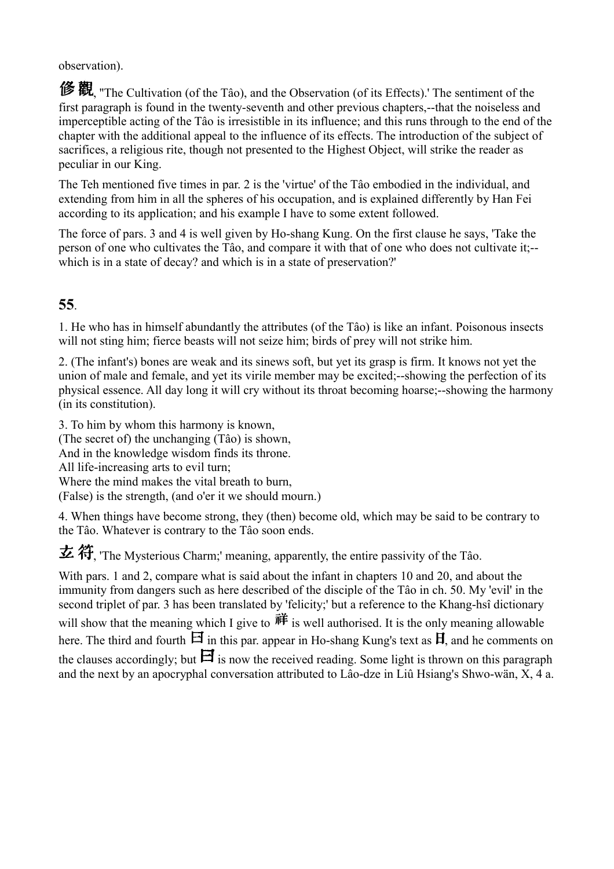observation).

修觀 "The Cultivation (of the Tâo), and the Observation (of its Effects).' The sentiment of the first paragraph is found in the twenty-seventh and other previous chapters,--that the noiseless and imperceptible acting of the Tâo is irresistible in its influence; and this runs through to the end of the chapter with the additional appeal to the influence of its effects. The introduction of the subject of sacrifices, a religious rite, though not presented to the Highest Object, will strike the reader as peculiar in our King.

The Teh mentioned five times in par. 2 is the 'virtue' of the Tâo embodied in the individual, and extending from him in all the spheres of his occupation, and is explained differently by Han Fei according to its application; and his example I have to some extent followed.

The force of pars. 3 and 4 is well given by Ho-shang Kung. On the first clause he says, 'Take the person of one who cultivates the Tâo, and compare it with that of one who does not cultivate it;- which is in a state of decay? and which is in a state of preservation?'

#### **55**.

1. He who has in himself abundantly the attributes (of the Tâo) is like an infant. Poisonous insects will not sting him; fierce beasts will not seize him; birds of prey will not strike him.

2. (The infant's) bones are weak and its sinews soft, but yet its grasp is firm. It knows not yet the union of male and female, and yet its virile member may be excited;--showing the perfection of its physical essence. All day long it will cry without its throat becoming hoarse;--showing the harmony (in its constitution).

3. To him by whom this harmony is known, (The secret of) the unchanging (Tâo) is shown, And in the knowledge wisdom finds its throne. All life-increasing arts to evil turn; Where the mind makes the vital breath to burn, (False) is the strength, (and o'er it we should mourn.)

4. When things have become strong, they (then) become old, which may be said to be contrary to the Tâo. Whatever is contrary to the Tâo soon ends.

玄符 The Mysterious Charm;' meaning, apparently, the entire passivity of the Tâo.

With pars. 1 and 2, compare what is said about the infant in chapters 10 and 20, and about the immunity from dangers such as here described of the disciple of the Tâo in ch. 50. My 'evil' in the second triplet of par. 3 has been translated by 'felicity;' but a reference to the Khang-hsî dictionary will show that the meaning which I give to  $\vec{\mathbf{H}}$  is well authorised. It is the only meaning allowable here. The third and fourth  $\boxminus$  in this par. appear in Ho-shang Kung's text as  $\boxminus$ , and he comments on the clauses accordingly; but  $\mathbf{H}$  is now the received reading. Some light is thrown on this paragraph and the next by an apocryphal conversation attributed to Lâo-dze in Liû Hsiang's Shwo-wän, X, 4 a.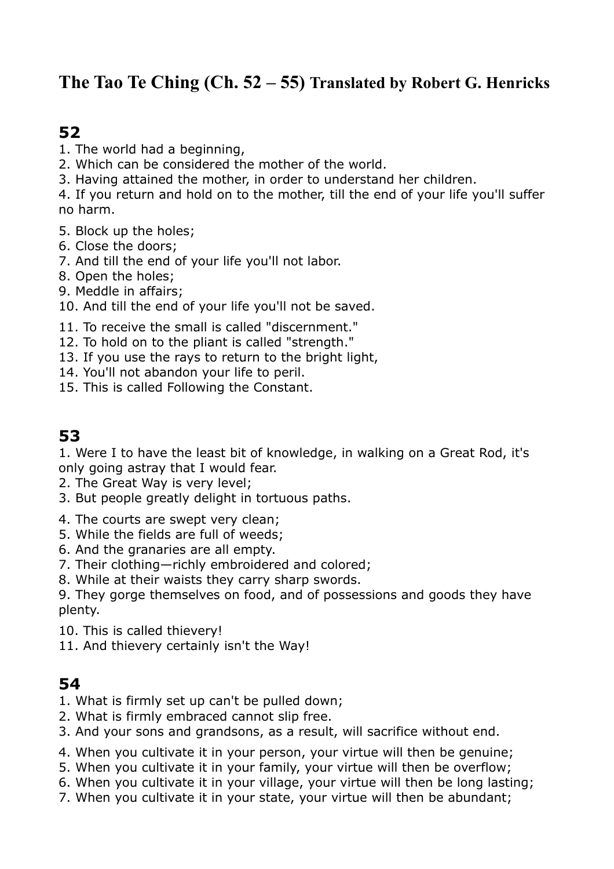## **The Tao Te Ching (Ch. 52 – 55) Translated by Robert G. Henricks**

## **52**

- 1. The world had a beginning,
- 2. Which can be considered the mother of the world.
- 3. Having attained the mother, in order to understand her children.
- 4. If you return and hold on to the mother, till the end of your life you'll suffer no harm.
- 5. Block up the holes;
- 6. Close the doors;
- 7. And till the end of your life you'll not labor.
- 8. Open the holes;
- 9. Meddle in affairs;
- 10. And till the end of your life you'll not be saved.
- 11. To receive the small is called "discernment."
- 12. To hold on to the pliant is called "strength."
- 13. If you use the rays to return to the bright light,
- 14. You'll not abandon your life to peril.
- 15. This is called Following the Constant.

## **53**

1. Were I to have the least bit of knowledge, in walking on a Great Rod, it's only going astray that I would fear.

- 2. The Great Way is very level;
- 3. But people greatly delight in tortuous paths.
- 4. The courts are swept very clean;
- 5. While the fields are full of weeds;
- 6. And the granaries are all empty.
- 7. Their clothing—richly embroidered and colored;
- 8. While at their waists they carry sharp swords.

9. They gorge themselves on food, and of possessions and goods they have plenty.

- 10. This is called thievery!
- 11. And thievery certainly isn't the Way!

## **54**

- 1. What is firmly set up can't be pulled down;
- 2. What is firmly embraced cannot slip free.
- 3. And your sons and grandsons, as a result, will sacrifice without end.
- 4. When you cultivate it in your person, your virtue will then be genuine;
- 5. When you cultivate it in your family, your virtue will then be overflow;
- 6. When you cultivate it in your village, your virtue will then be long lasting;
- 7. When you cultivate it in your state, your virtue will then be abundant;